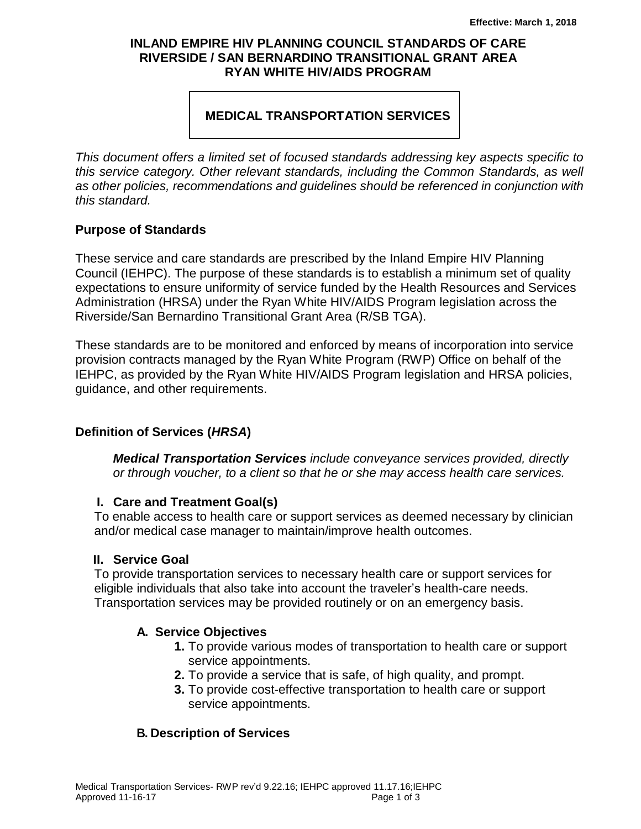### **INLAND EMPIRE HIV PLANNING COUNCIL STANDARDS OF CARE RIVERSIDE / SAN BERNARDINO TRANSITIONAL GRANT AREA RYAN WHITE HIV/AIDS PROGRAM**

## **MEDICAL TRANSPORTATION SERVICES**

*This document offers a limited set of focused standards addressing key aspects specific to this service category. Other relevant standards, including the Common Standards, as well as other policies, recommendations and guidelines should be referenced in conjunction with this standard.*

#### **Purpose of Standards**

These service and care standards are prescribed by the Inland Empire HIV Planning Council (IEHPC). The purpose of these standards is to establish a minimum set of quality expectations to ensure uniformity of service funded by the Health Resources and Services Administration (HRSA) under the Ryan White HIV/AIDS Program legislation across the Riverside/San Bernardino Transitional Grant Area (R/SB TGA).

These standards are to be monitored and enforced by means of incorporation into service provision contracts managed by the Ryan White Program (RWP) Office on behalf of the IEHPC, as provided by the Ryan White HIV/AIDS Program legislation and HRSA policies, guidance, and other requirements.

### **Definition of Services (***HRSA***)**

*Medical Transportation Services include conveyance services provided, directly or through voucher, to a client so that he or she may access health care services.*

### **I. Care and Treatment Goal(s)**

To enable access to health care or support services as deemed necessary by clinician and/or medical case manager to maintain/improve health outcomes.

### **II. Service Goal**

To provide transportation services to necessary health care or support services for eligible individuals that also take into account the traveler's health-care needs. Transportation services may be provided routinely or on an emergency basis.

### **A. Service Objectives**

- **1.** To provide various modes of transportation to health care or support service appointments.
- **2.** To provide a service that is safe, of high quality, and prompt.
- **3.** To provide cost-effective transportation to health care or support service appointments.

### **B. Description of Services**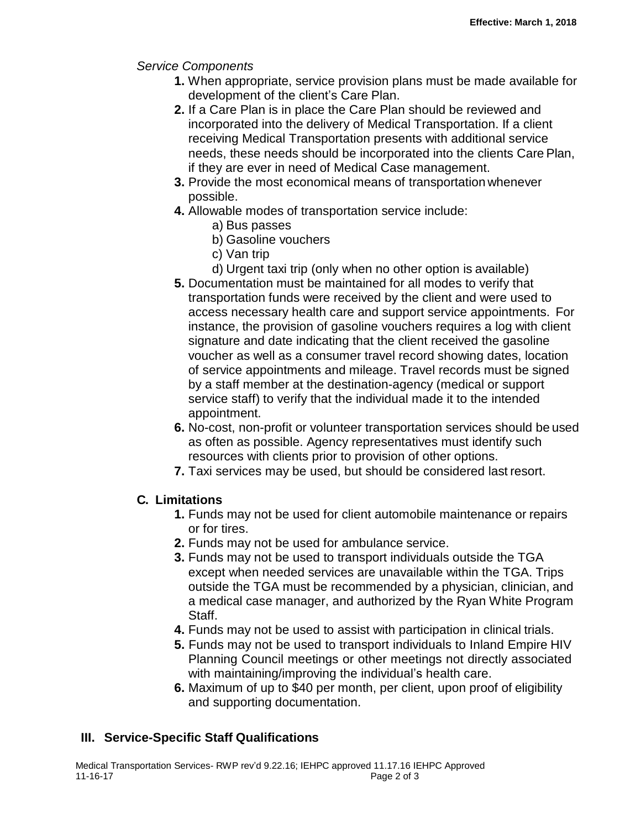### *Service Components*

- **1.** When appropriate, service provision plans must be made available for development of the client's Care Plan.
- **2.** If a Care Plan is in place the Care Plan should be reviewed and incorporated into the delivery of Medical Transportation. If a client receiving Medical Transportation presents with additional service needs, these needs should be incorporated into the clients Care Plan, if they are ever in need of Medical Case management.
- **3.** Provide the most economical means of transportation whenever possible.
- **4.** Allowable modes of transportation service include:
	- a) Bus passes
	- b) Gasoline vouchers
	- c) Van trip
	- d) Urgent taxi trip (only when no other option is available)
- **5.** Documentation must be maintained for all modes to verify that transportation funds were received by the client and were used to access necessary health care and support service appointments. For instance, the provision of gasoline vouchers requires a log with client signature and date indicating that the client received the gasoline voucher as well as a consumer travel record showing dates, location of service appointments and mileage. Travel records must be signed by a staff member at the destination-agency (medical or support service staff) to verify that the individual made it to the intended appointment.
- **6.** No-cost, non-profit or volunteer transportation services should be used as often as possible. Agency representatives must identify such resources with clients prior to provision of other options.
- **7.** Taxi services may be used, but should be considered last resort.

# **C. Limitations**

- **1.** Funds may not be used for client automobile maintenance or repairs or for tires.
- **2.** Funds may not be used for ambulance service.
- **3.** Funds may not be used to transport individuals outside the TGA except when needed services are unavailable within the TGA. Trips outside the TGA must be recommended by a physician, clinician, and a medical case manager, and authorized by the Ryan White Program Staff.
- **4.** Funds may not be used to assist with participation in clinical trials.
- **5.** Funds may not be used to transport individuals to Inland Empire HIV Planning Council meetings or other meetings not directly associated with maintaining/improving the individual's health care.
- **6.** Maximum of up to \$40 per month, per client, upon proof of eligibility and supporting documentation.

# **III. Service-Specific Staff Qualifications**